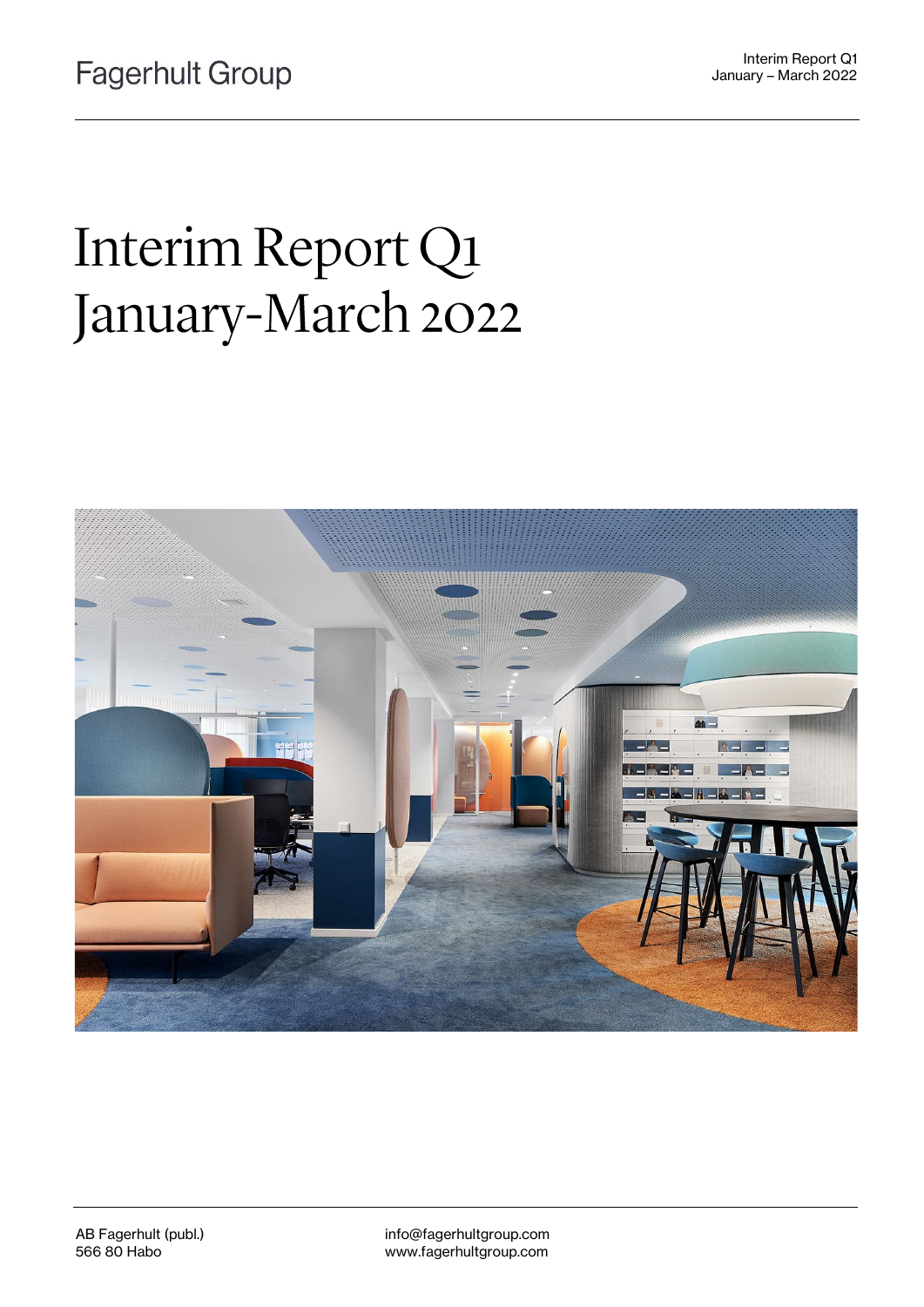# Interim Report Q1 January-March 2022



info@fagerhultgroup.com www.fagerhultgroup.com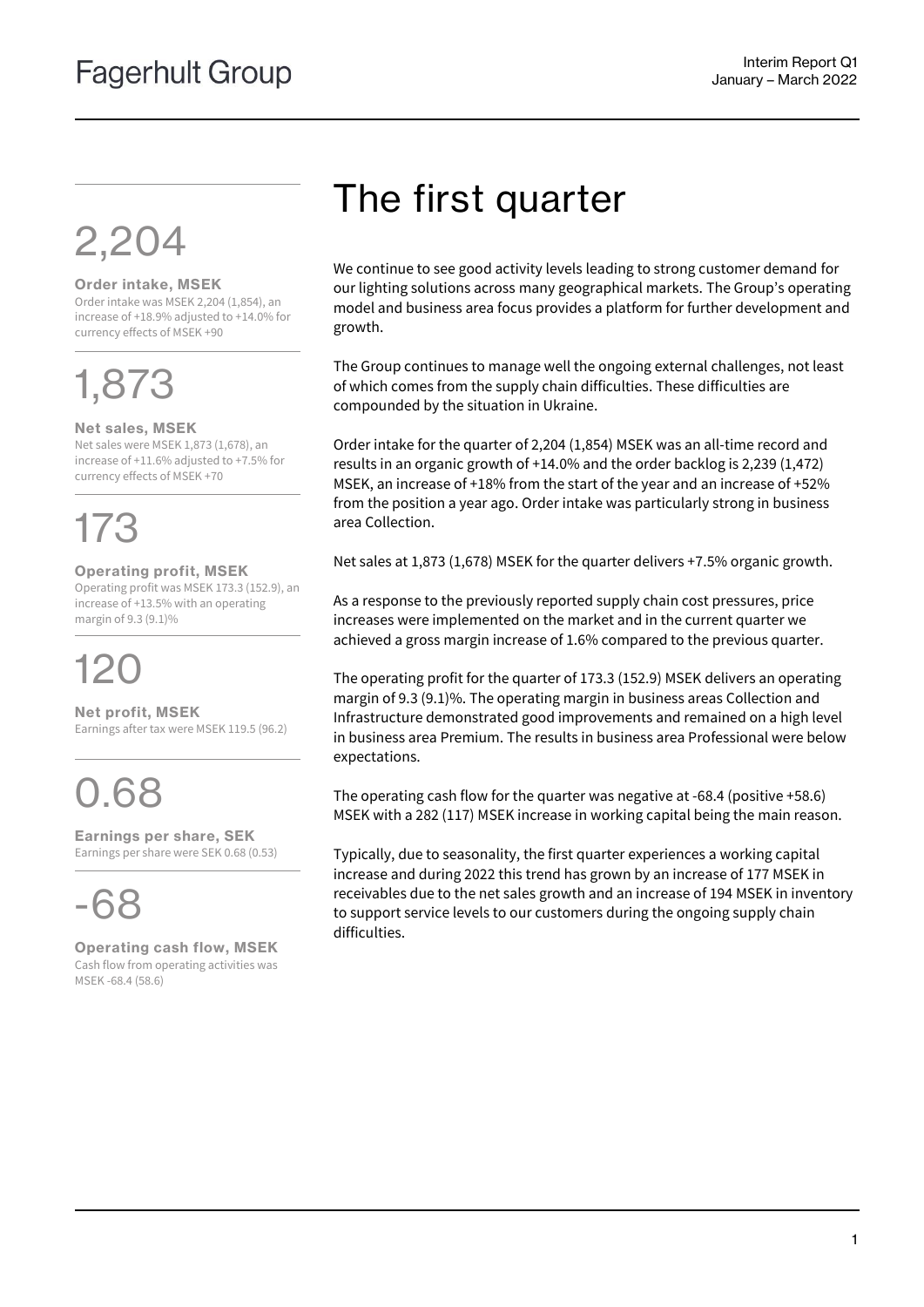# 2,204

#### **Order intake, MSEK**

Order intake was MSEK 2,204 (1,854), an increase of +18.9% adjusted to +14.0% for currency effects of MSEK +90

# 1,873

#### **Net sales, MSEK**

Net sales were MSEK 1,873 (1,678), an increase of +11.6% adjusted to +7.5% for currency effects of MSEK +70

# 173

**Operating profit, MSEK**

Operating profit was MSEK 173.3 (152.9), an increase of +13.5% with an operating margin of 9.3 (9.1)%

# 120

**Net profit, MSEK** Earnings after tax were MSEK 119.5 (96.2)

## 0.68

**Earnings per share, SEK** Earnings per share were SEK 0.68 (0.53)



**Operating cash flow, MSEK** Cash flow from operating activities was MSEK -68.4 (58.6)

## The first quarter

We continue to see good activity levels leading to strong customer demand for our lighting solutions across many geographical markets. The Group's operating model and business area focus provides a platform for further development and growth.

The Group continues to manage well the ongoing external challenges, not least of which comes from the supply chain difficulties. These difficulties are compounded by the situation in Ukraine.

Order intake for the quarter of 2,204 (1,854) MSEK was an all-time record and results in an organic growth of +14.0% and the order backlog is 2,239 (1,472) MSEK, an increase of +18% from the start of the year and an increase of +52% from the position a year ago. Order intake was particularly strong in business area Collection.

Net sales at 1,873 (1,678) MSEK for the quarter delivers +7.5% organic growth.

As a response to the previously reported supply chain cost pressures, price increases were implemented on the market and in the current quarter we achieved a gross margin increase of 1.6% compared to the previous quarter.

The operating profit for the quarter of 173.3 (152.9) MSEK delivers an operating margin of 9.3 (9.1)%. The operating margin in business areas Collection and Infrastructure demonstrated good improvements and remained on a high level in business area Premium. The results in business area Professional were below expectations.

The operating cash flow for the quarter was negative at -68.4 (positive +58.6) MSEK with a 282 (117) MSEK increase in working capital being the main reason.

Typically, due to seasonality, the first quarter experiences a working capital increase and during 2022 this trend has grown by an increase of 177 MSEK in receivables due to the net sales growth and an increase of 194 MSEK in inventory to support service levels to our customers during the ongoing supply chain difficulties.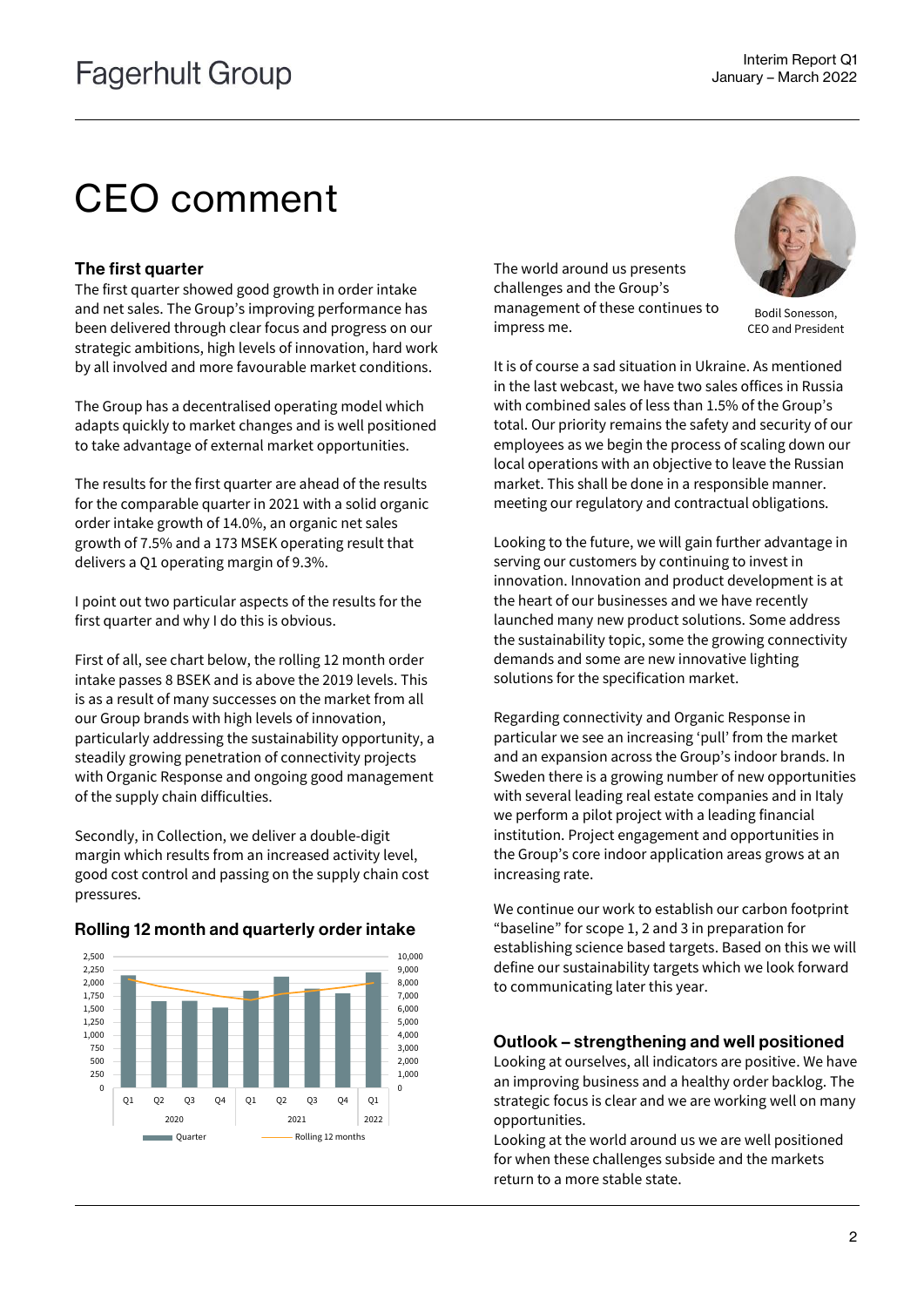## CEO comment

#### The first quarter

The first quarter showed good growth in order intake and net sales. The Group's improving performance has been delivered through clear focus and progress on our strategic ambitions, high levels of innovation, hard work by all involved and more favourable market conditions.

The Group has a decentralised operating model which adapts quickly to market changes and is well positioned to take advantage of external market opportunities.

The results for the first quarter are ahead of the results for the comparable quarter in 2021 with a solid organic order intake growth of 14.0%, an organic net sales growth of 7.5% and a 173 MSEK operating result that delivers a Q1 operating margin of 9.3%.

I point out two particular aspects of the results for the first quarter and why I do this is obvious.

First of all, see chart below, the rolling 12 month order intake passes 8 BSEK and is above the 2019 levels. This is as a result of many successes on the market from all our Group brands with high levels of innovation, particularly addressing the sustainability opportunity, a steadily growing penetration of connectivity projects with Organic Response and ongoing good management of the supply chain difficulties.

Secondly, in Collection, we deliver a double-digit margin which results from an increased activity level, good cost control and passing on the supply chain cost pressures.



#### Rolling 12 month and quarterly order intake

The world around us presents challenges and the Group's management of these continues to impress me.



Bodil Sonesson, CEO and President

It is of course a sad situation in Ukraine. As mentioned in the last webcast, we have two sales offices in Russia with combined sales of less than 1.5% of the Group's total. Our priority remains the safety and security of our employees as we begin the process of scaling down our local operations with an objective to leave the Russian market. This shall be done in a responsible manner. meeting our regulatory and contractual obligations.

Looking to the future, we will gain further advantage in serving our customers by continuing to invest in innovation. Innovation and product development is at the heart of our businesses and we have recently launched many new product solutions. Some address the sustainability topic, some the growing connectivity demands and some are new innovative lighting solutions for the specification market.

Regarding connectivity and Organic Response in particular we see an increasing 'pull' from the market and an expansion across the Group's indoor brands. In Sweden there is a growing number of new opportunities with several leading real estate companies and in Italy we perform a pilot project with a leading financial institution. Project engagement and opportunities in the Group's core indoor application areas grows at an increasing rate.

We continue our work to establish our carbon footprint "baseline" for scope 1, 2 and 3 in preparation for establishing science based targets. Based on this we will define our sustainability targets which we look forward to communicating later this year.

#### Outlook – strengthening and well positioned

Looking at ourselves, all indicators are positive. We have an improving business and a healthy order backlog. The strategic focus is clear and we are working well on many opportunities.

Looking at the world around us we are well positioned for when these challenges subside and the markets return to a more stable state.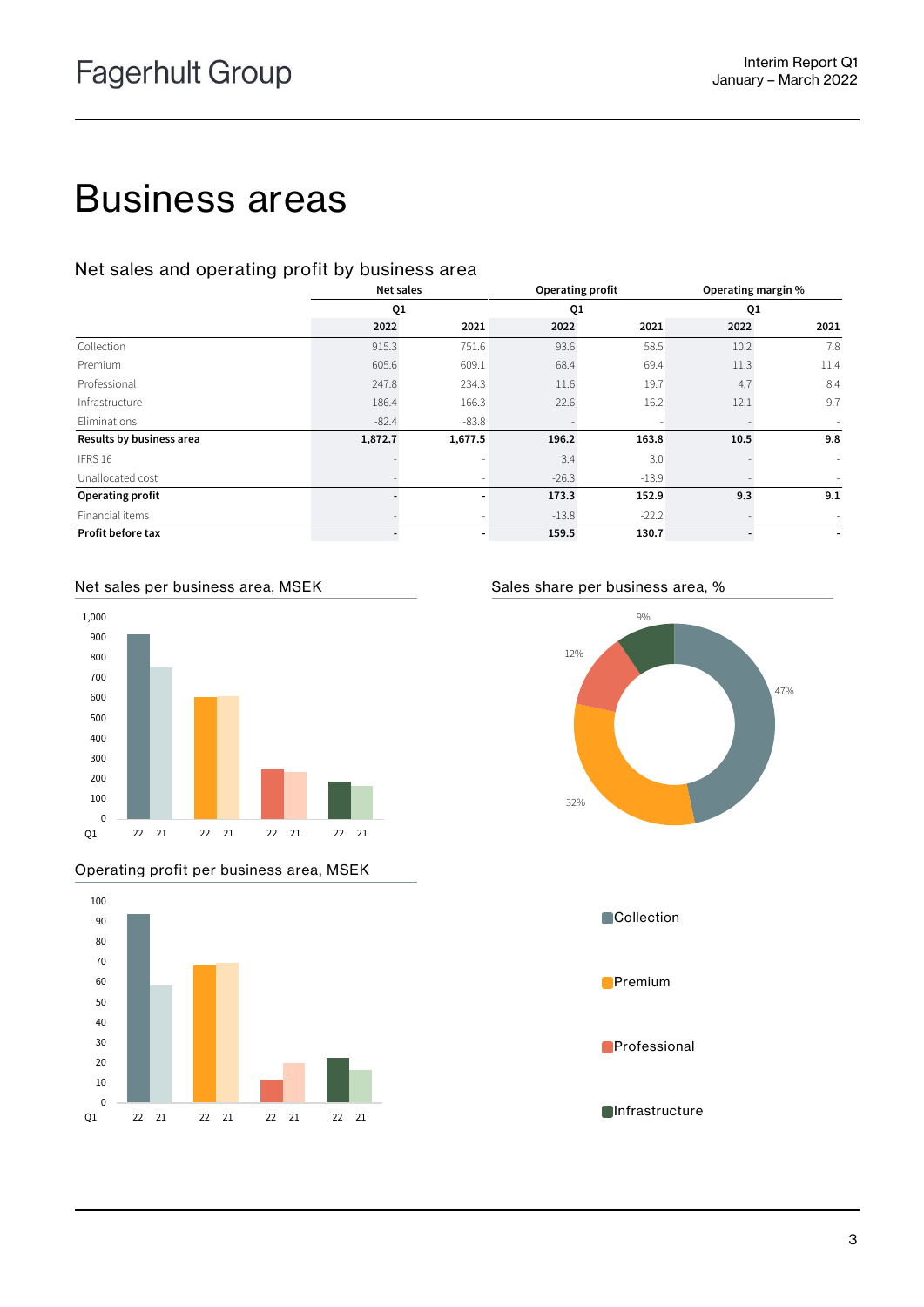## Business areas

#### Net sales and operating profit by business area

|                          | Net sales |         |                |         |      | Operating profit<br>Operating margin % |  |  |
|--------------------------|-----------|---------|----------------|---------|------|----------------------------------------|--|--|
|                          | Q1        |         | Q <sub>1</sub> |         | Q1   |                                        |  |  |
|                          | 2022      | 2021    | 2022           | 2021    | 2022 | 2021                                   |  |  |
| Collection               | 915.3     | 751.6   | 93.6           | 58.5    | 10.2 | 7.8                                    |  |  |
| Premium                  | 605.6     | 609.1   | 68.4           | 69.4    | 11.3 | 11.4                                   |  |  |
| Professional             | 247.8     | 234.3   | 11.6           | 19.7    | 4.7  | 8.4                                    |  |  |
| Infrastructure           | 186.4     | 166.3   | 22.6           | 16.2    | 12.1 | 9.7                                    |  |  |
| Eliminations             | $-82.4$   | $-83.8$ |                |         |      |                                        |  |  |
| Results by business area | 1,872.7   | 1,677.5 | 196.2          | 163.8   | 10.5 | 9.8                                    |  |  |
| IFRS 16                  |           |         | 3.4            | 3.0     |      | $\sim$                                 |  |  |
| Unallocated cost         |           |         | $-26.3$        | $-13.9$ |      |                                        |  |  |
| Operating profit         |           |         | 173.3          | 152.9   | 9.3  | 9.1                                    |  |  |
| Financial items          |           |         | $-13.8$        | $-22.2$ |      |                                        |  |  |
| Profit before tax        |           |         | 159.5          | 130.7   |      |                                        |  |  |

#### Net sales per business area, MSEK Sales share per business area, %



#### Operating profit per business area, MSEK



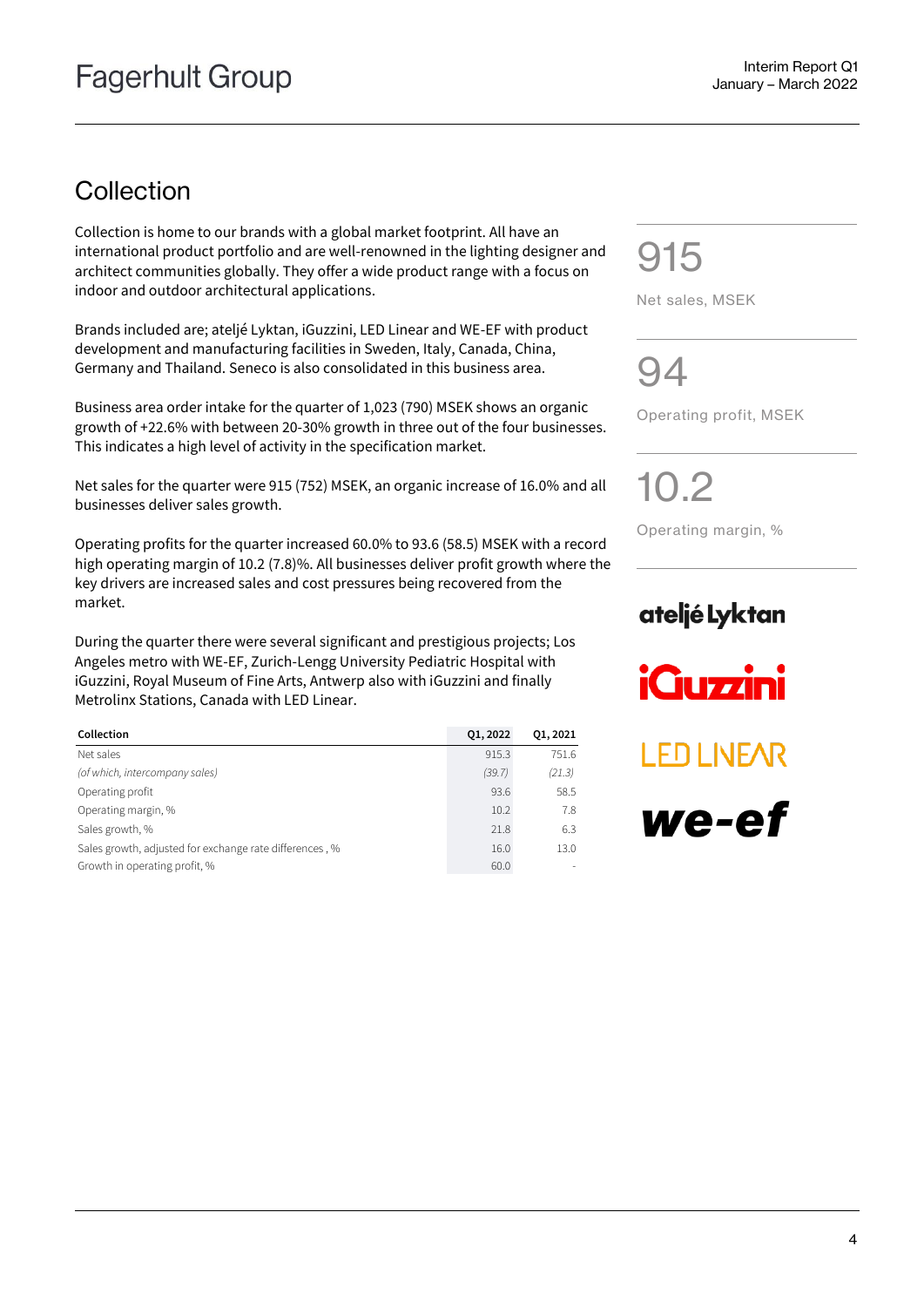## **Collection**

Collection is home to our brands with a global market footprint. All have an international product portfolio and are well-renowned in the lighting designer and architect communities globally. They offer a wide product range with a focus on indoor and outdoor architectural applications.

Brands included are; ateljé Lyktan, iGuzzini, LED Linear and WE-EF with product development and manufacturing facilities in Sweden, Italy, Canada, China, Germany and Thailand. Seneco is also consolidated in this business area.

Business area order intake for the quarter of 1,023 (790) MSEK shows an organic growth of +22.6% with between 20-30% growth in three out of the four businesses. This indicates a high level of activity in the specification market.

Net sales for the quarter were 915 (752) MSEK, an organic increase of 16.0% and all businesses deliver sales growth.

Operating profits for the quarter increased 60.0% to 93.6 (58.5) MSEK with a record high operating margin of 10.2 (7.8)%. All businesses deliver profit growth where the key drivers are increased sales and cost pressures being recovered from the market.

During the quarter there were several significant and prestigious projects; Los Angeles metro with WE-EF, Zurich-Lengg University Pediatric Hospital with iGuzzini, Royal Museum of Fine Arts, Antwerp also with iGuzzini and finally Metrolinx Stations, Canada with LED Linear.

| Collection                                              | 01, 2022 | 01, 2021 |
|---------------------------------------------------------|----------|----------|
| Net sales                                               | 915.3    | 751.6    |
| (of which, intercompany sales)                          | (39.7)   | (21.3)   |
| Operating profit                                        | 93.6     | 58.5     |
| Operating margin, %                                     | 10.2     | 7.8      |
| Sales growth, %                                         | 21.8     | 6.3      |
| Sales growth, adjusted for exchange rate differences, % | 16.0     | 13.0     |
| Growth in operating profit, %                           | 60.0     |          |

915

Net sales, MSEK

 $Q\Delta$ 

Operating profit, MSEK

10.2

Operating margin, %

## ateljé Lyktan

**iGuzzini** 

**LED LINEAR** 

we-ef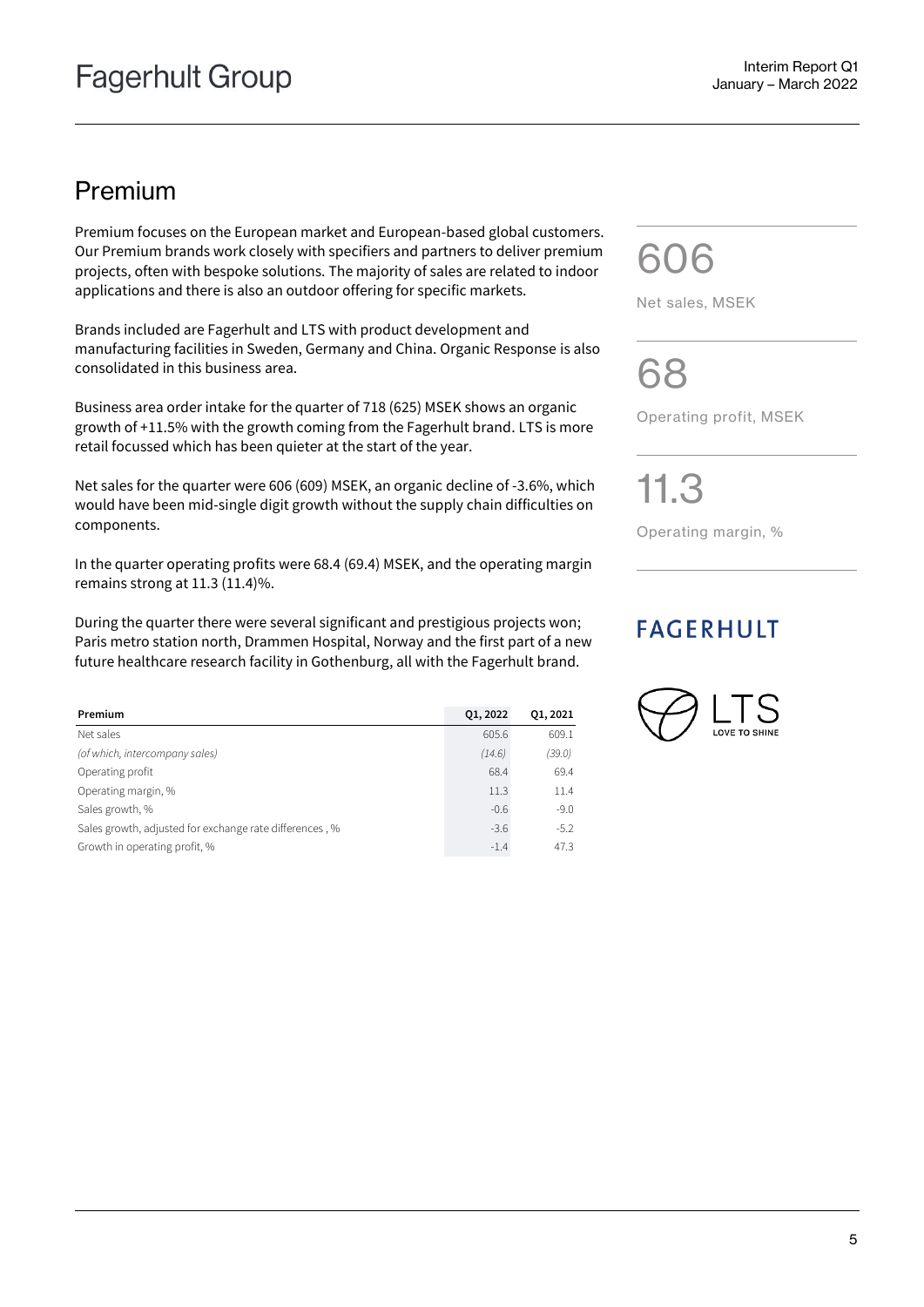### Premium

Premium focuses on the European market and European-based global customers. Our Premium brands work closely with specifiers and partners to deliver premium projects, often with bespoke solutions. The majority of sales are related to indoor applications and there is also an outdoor offering for specific markets.

Brands included are Fagerhult and LTS with product development and manufacturing facilities in Sweden, Germany and China. Organic Response is also consolidated in this business area.

Business area order intake for the quarter of 718 (625) MSEK shows an organic growth of +11.5% with the growth coming from the Fagerhult brand. LTS is more retail focussed which has been quieter at the start of the year.

Net sales for the quarter were 606 (609) MSEK, an organic decline of -3.6%, which would have been mid-single digit growth without the supply chain difficulties on components.

In the quarter operating profits were 68.4 (69.4) MSEK, and the operating margin remains strong at 11.3 (11.4)%.

During the quarter there were several significant and prestigious projects won; Paris metro station north, Drammen Hospital, Norway and the first part of a new future healthcare research facility in Gothenburg, all with the Fagerhult brand.

| Premium                                                 | 01, 2022 | 01, 2021 |
|---------------------------------------------------------|----------|----------|
| Net sales                                               | 605.6    | 609.1    |
| (of which, intercompany sales)                          | (14.6)   | (39.0)   |
| Operating profit                                        | 68.4     | 69.4     |
| Operating margin, %                                     | 11.3     | 11.4     |
| Sales growth, %                                         | $-0.6$   | $-9.0$   |
| Sales growth, adjusted for exchange rate differences, % | $-3.6$   | $-5.2$   |
| Growth in operating profit, %                           | $-1.4$   | 47.3     |

606

Net sales, MSEK

68

Operating profit, MSEK

11.3

Operating margin, %

### **FAGERHULT**

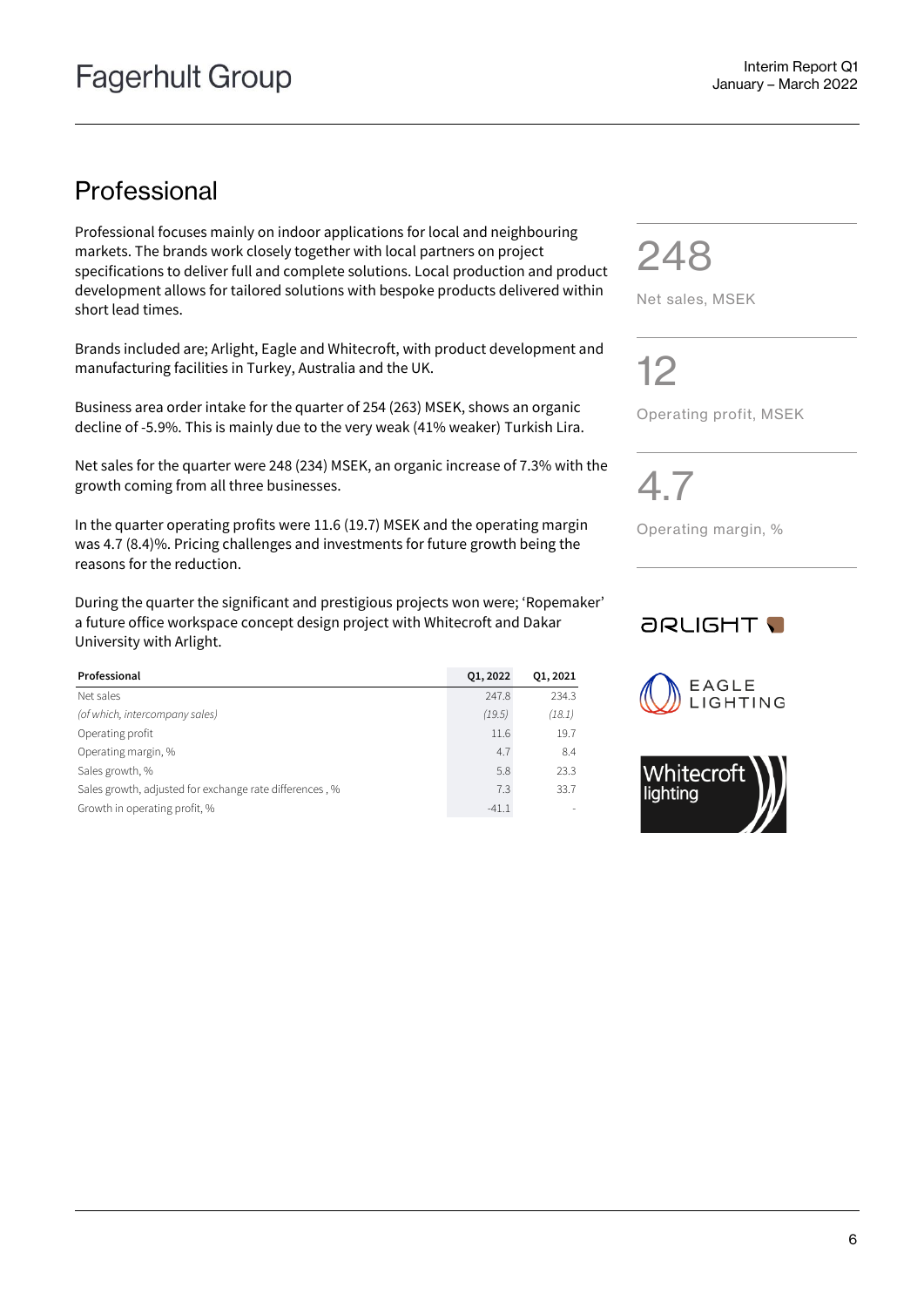## Professional

Professional focuses mainly on indoor applications for local and neighbouring markets. The brands work closely together with local partners on project specifications to deliver full and complete solutions. Local production and product development allows for tailored solutions with bespoke products delivered within short lead times.

Brands included are; Arlight, Eagle and Whitecroft, with product development and manufacturing facilities in Turkey, Australia and the UK.

Business area order intake for the quarter of 254 (263) MSEK, shows an organic decline of -5.9%. This is mainly due to the very weak (41% weaker) Turkish Lira.

Net sales for the quarter were 248 (234) MSEK, an organic increase of 7.3% with the growth coming from all three businesses.

In the quarter operating profits were 11.6 (19.7) MSEK and the operating margin was 4.7 (8.4)%. Pricing challenges and investments for future growth being the reasons for the reduction.

During the quarter the significant and prestigious projects won were; 'Ropemaker' a future office workspace concept design project with Whitecroft and Dakar University with Arlight.

| Professional                                            | 01, 2022 | 01, 2021 |
|---------------------------------------------------------|----------|----------|
| Net sales                                               | 247.8    | 234.3    |
| (of which, intercompany sales)                          | (19.5)   | (18.1)   |
| Operating profit                                        | 11.6     | 19.7     |
| Operating margin, %                                     | 4.7      | 8.4      |
| Sales growth, %                                         | 5.8      | 23.3     |
| Sales growth, adjusted for exchange rate differences, % | 7.3      | 33.7     |
| Growth in operating profit, %                           | $-41.1$  |          |

248

Net sales, MSEK

12

Operating profit, MSEK

4.7

Operating margin, %

### **JRLIGHT T**



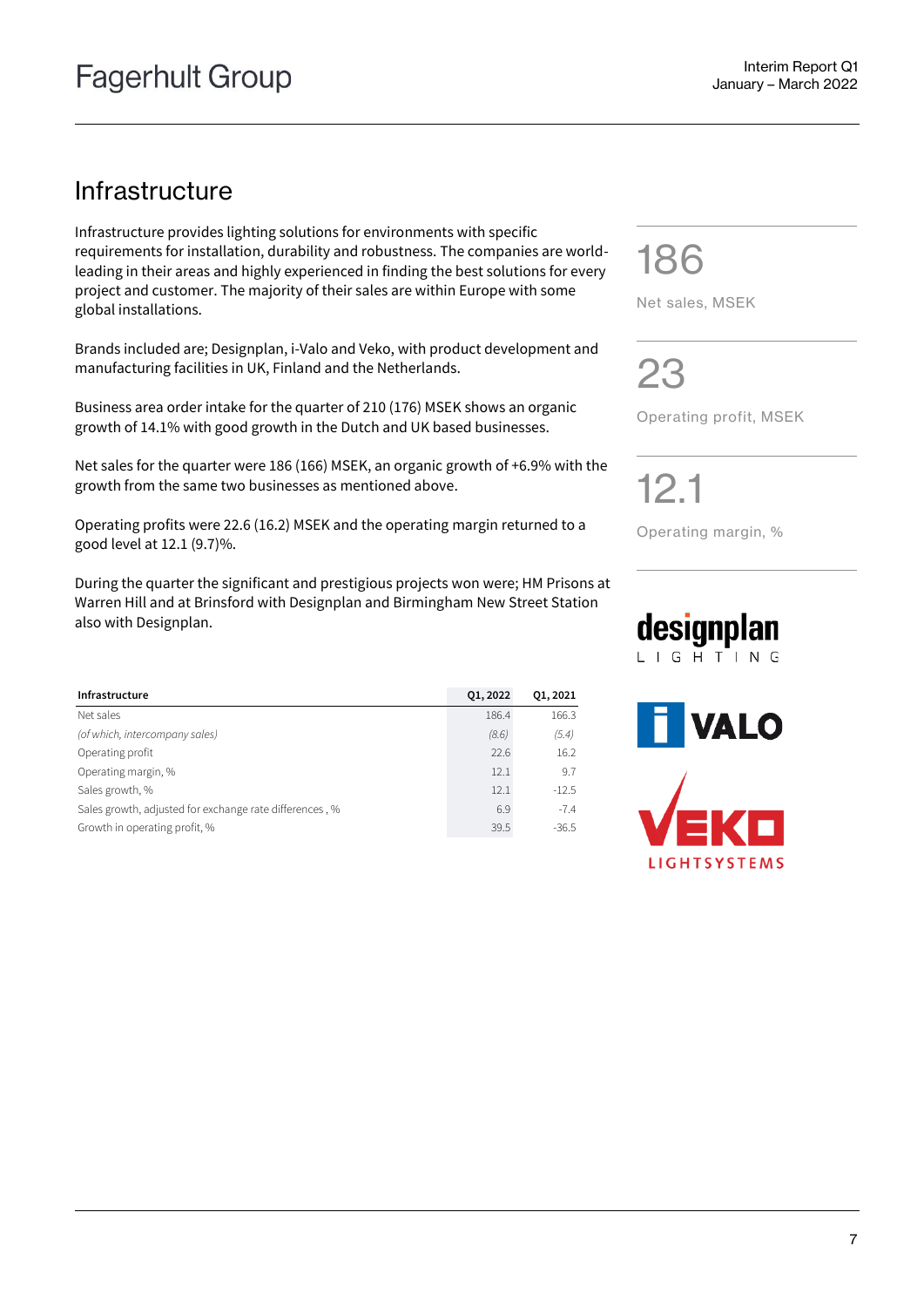### Infrastructure

Infrastructure provides lighting solutions for environments with specific requirements for installation, durability and robustness. The companies are worldleading in their areas and highly experienced in finding the best solutions for every project and customer. The majority of their sales are within Europe with some global installations.

Brands included are; Designplan, i-Valo and Veko, with product development and manufacturing facilities in UK, Finland and the Netherlands.

Business area order intake for the quarter of 210 (176) MSEK shows an organic growth of 14.1% with good growth in the Dutch and UK based businesses.

Net sales for the quarter were 186 (166) MSEK, an organic growth of +6.9% with the growth from the same two businesses as mentioned above.

Operating profits were 22.6 (16.2) MSEK and the operating margin returned to a good level at 12.1 (9.7)%.

During the quarter the significant and prestigious projects won were; HM Prisons at Warren Hill and at Brinsford with Designplan and Birmingham New Street Station also with Designplan.

| Infrastructure                                          | 01, 2022 | 01, 2021 |
|---------------------------------------------------------|----------|----------|
| Net sales                                               | 186.4    | 166.3    |
| (of which, intercompany sales)                          | (8.6)    | (5.4)    |
| Operating profit                                        | 22.6     | 16.2     |
| Operating margin, %                                     | 12.1     | 9.7      |
| Sales growth, %                                         | 12.1     | $-12.5$  |
| Sales growth, adjusted for exchange rate differences, % | 6.9      | $-7.4$   |
| Growth in operating profit, %                           | 39.5     | $-36.5$  |

186

Net sales, MSEK

23

Operating profit, MSEK

12.1

Operating margin, %

### designplan LIGHTING

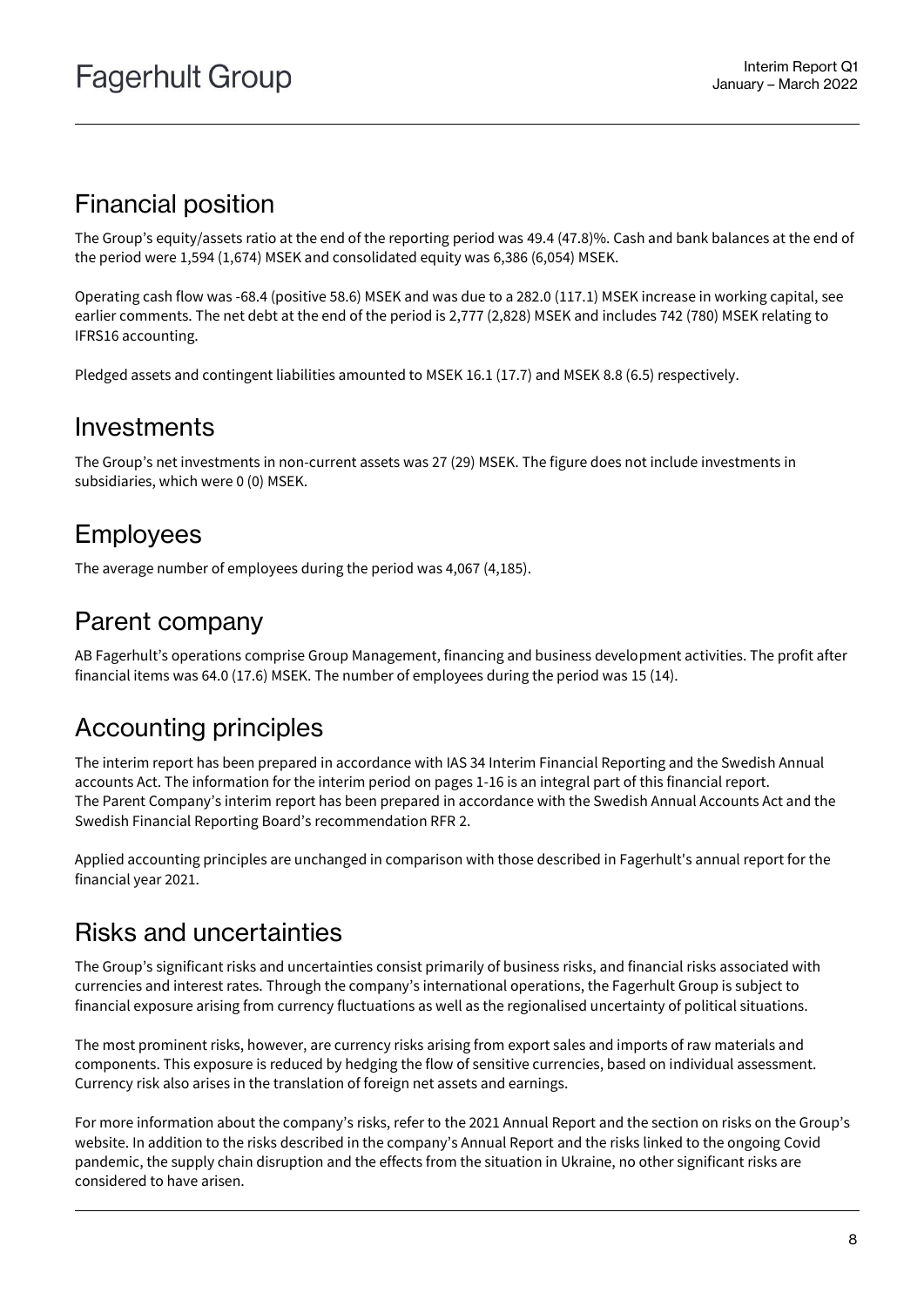### Financial position

The Group's equity/assets ratio at the end of the reporting period was 49.4 (47.8)%. Cash and bank balances at the end of the period were 1,594 (1,674) MSEK and consolidated equity was 6,386 (6,054) MSEK.

Operating cash flow was -68.4 (positive 58.6) MSEK and was due to a 282.0 (117.1) MSEK increase in working capital, see earlier comments. The net debt at the end of the period is 2,777 (2,828) MSEK and includes 742 (780) MSEK relating to IFRS16 accounting.

Pledged assets and contingent liabilities amounted to MSEK 16.1 (17.7) and MSEK 8.8 (6.5) respectively.

### Investments

The Group's net investments in non-current assets was 27 (29) MSEK. The figure does not include investments in subsidiaries, which were 0 (0) MSEK.

## Employees

The average number of employees during the period was 4,067 (4,185).

### Parent company

AB Fagerhult's operations comprise Group Management, financing and business development activities. The profit after financial items was 64.0 (17.6) MSEK. The number of employees during the period was 15 (14).

### Accounting principles

The interim report has been prepared in accordance with IAS 34 Interim Financial Reporting and the Swedish Annual accounts Act. The information for the interim period on pages 1-16 is an integral part of this financial report. The Parent Company's interim report has been prepared in accordance with the Swedish Annual Accounts Act and the Swedish Financial Reporting Board's recommendation RFR 2.

Applied accounting principles are unchanged in comparison with those described in Fagerhult's annual report for the financial year 2021.

### Risks and uncertainties

The Group's significant risks and uncertainties consist primarily of business risks, and financial risks associated with currencies and interest rates. Through the company's international operations, the Fagerhult Group is subject to financial exposure arising from currency fluctuations as well as the regionalised uncertainty of political situations.

The most prominent risks, however, are currency risks arising from export sales and imports of raw materials and components. This exposure is reduced by hedging the flow of sensitive currencies, based on individual assessment. Currency risk also arises in the translation of foreign net assets and earnings.

For more information about the company's risks, refer to the 2021 Annual Report and the section on risks on the Group's website. In addition to the risks described in the company's Annual Report and the risks linked to the ongoing Covid pandemic, the supply chain disruption and the effects from the situation in Ukraine, no other significant risks are considered to have arisen.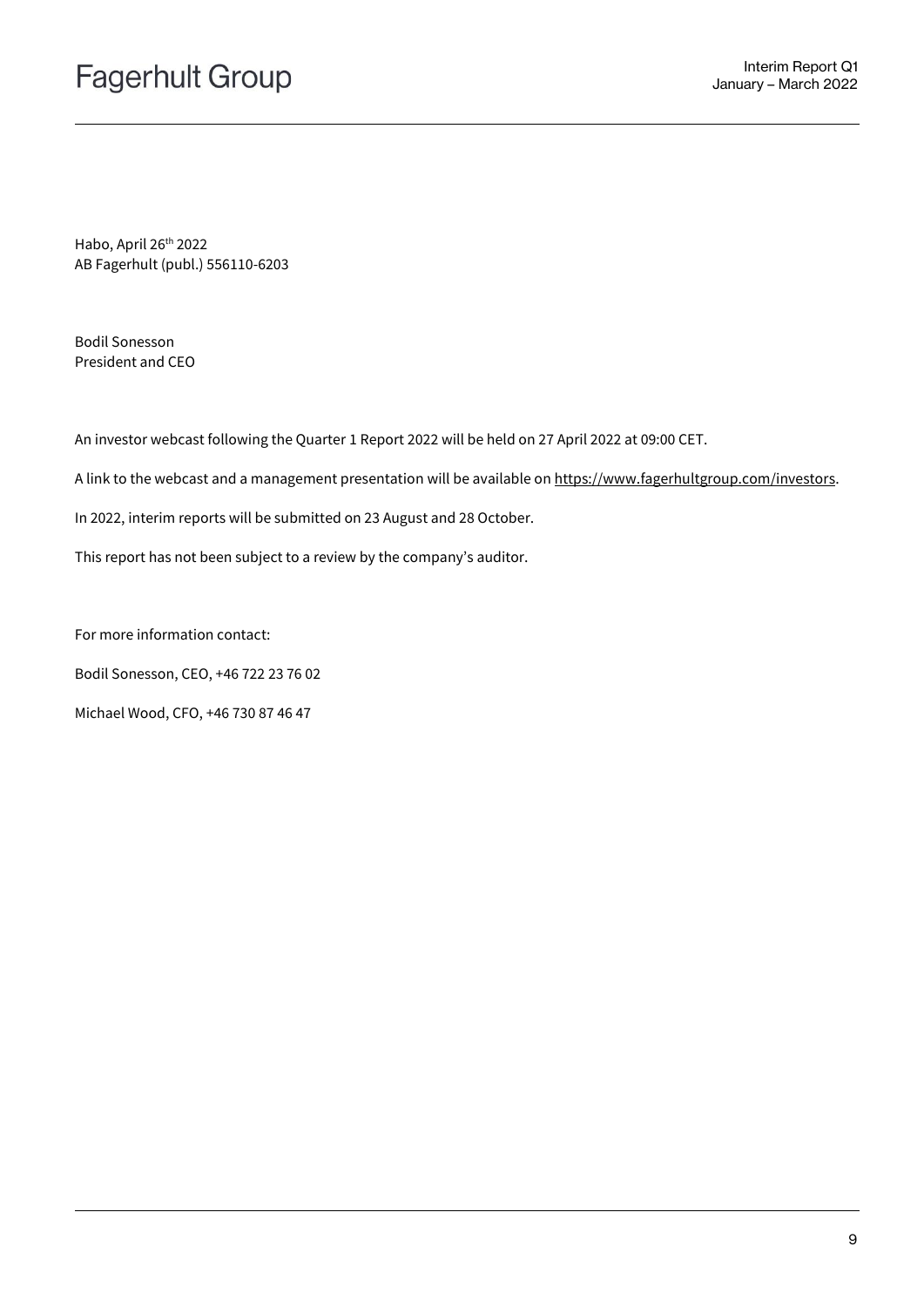Habo, April 26th 2022 AB Fagerhult (publ.) 556110-6203

Bodil Sonesson President and CEO

An investor webcast following the Quarter 1 Report 2022 will be held on 27 April 2022 at 09:00 CET.

A link to the webcast and a management presentation will be available o[n https://www.fagerhultgroup.com/investors.](https://www.fagerhultgroup.com/investors)

In 2022, interim reports will be submitted on 23 August and 28 October.

This report has not been subject to a review by the company's auditor.

For more information contact:

Bodil Sonesson, CEO, +46 722 23 76 02

Michael Wood, CFO, +46 730 87 46 47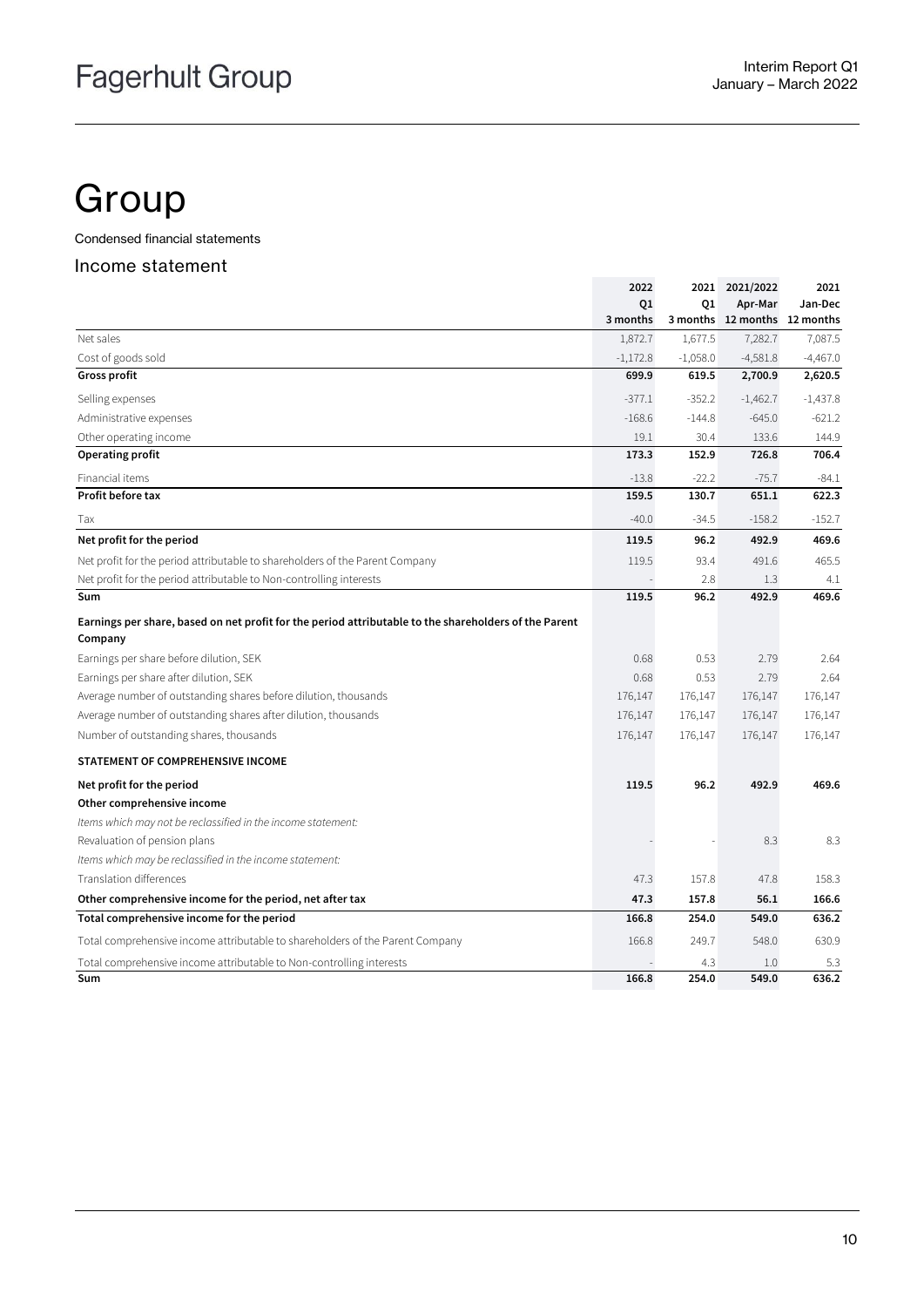## **Group**

Condensed financial statements

#### Income statement

|                                                                                                       | 2022       |            | 2021 2021/2022               | 2021       |
|-------------------------------------------------------------------------------------------------------|------------|------------|------------------------------|------------|
|                                                                                                       | Q1         | Q1         | Apr-Mar                      | Jan-Dec    |
|                                                                                                       | 3 months   |            | 3 months 12 months 12 months |            |
| Net sales                                                                                             | 1,872.7    | 1,677.5    | 7,282.7                      | 7,087.5    |
| Cost of goods sold                                                                                    | $-1,172.8$ | $-1,058.0$ | $-4,581.8$                   | $-4,467.0$ |
| <b>Gross profit</b>                                                                                   | 699.9      | 619.5      | 2,700.9                      | 2,620.5    |
| Selling expenses                                                                                      | $-377.1$   | $-352.2$   | $-1,462.7$                   | $-1,437.8$ |
| Administrative expenses                                                                               | $-168.6$   | $-144.8$   | $-645.0$                     | $-621.2$   |
| Other operating income                                                                                | 19.1       | 30.4       | 133.6                        | 144.9      |
| Operating profit                                                                                      | 173.3      | 152.9      | 726.8                        | 706.4      |
| Financial items                                                                                       | $-13.8$    | $-22.2$    | $-75.7$                      | $-84.1$    |
| Profit before tax                                                                                     | 159.5      | 130.7      | 651.1                        | 622.3      |
| Tax                                                                                                   | $-40.0$    | $-34.5$    | $-158.2$                     | $-152.7$   |
| Net profit for the period                                                                             | 119.5      | 96.2       | 492.9                        | 469.6      |
| Net profit for the period attributable to shareholders of the Parent Company                          | 119.5      | 93.4       | 491.6                        | 465.5      |
| Net profit for the period attributable to Non-controlling interests                                   |            | 2.8        | 1.3                          | 4.1        |
| Sum                                                                                                   | 119.5      | 96.2       | 492.9                        | 469.6      |
| Earnings per share, based on net profit for the period attributable to the shareholders of the Parent |            |            |                              |            |
| Company                                                                                               |            |            |                              |            |
| Earnings per share before dilution, SEK                                                               | 0.68       | 0.53       | 2.79                         | 2.64       |
| Earnings per share after dilution, SEK                                                                | 0.68       | 0.53       | 2.79                         | 2.64       |
| Average number of outstanding shares before dilution, thousands                                       | 176,147    | 176,147    | 176,147                      | 176,147    |
| Average number of outstanding shares after dilution, thousands                                        | 176,147    | 176,147    | 176,147                      | 176,147    |
| Number of outstanding shares, thousands                                                               | 176,147    | 176,147    | 176,147                      | 176,147    |
| STATEMENT OF COMPREHENSIVE INCOME                                                                     |            |            |                              |            |
| Net profit for the period                                                                             | 119.5      | 96.2       | 492.9                        | 469.6      |
| Other comprehensive income                                                                            |            |            |                              |            |
| Items which may not be reclassified in the income statement:                                          |            |            |                              |            |
| Revaluation of pension plans                                                                          |            |            | 8.3                          | 8.3        |
| Items which may be reclassified in the income statement:                                              |            |            |                              |            |
| Translation differences                                                                               | 47.3       | 157.8      | 47.8                         | 158.3      |
| Other comprehensive income for the period, net after tax                                              | 47.3       | 157.8      | 56.1                         | 166.6      |
| Total comprehensive income for the period                                                             | 166.8      | 254.0      | 549.0                        | 636.2      |
| Total comprehensive income attributable to shareholders of the Parent Company                         | 166.8      | 249.7      | 548.0                        | 630.9      |
| Total comprehensive income attributable to Non-controlling interests                                  |            | 4.3        | 1.0                          | 5.3        |
| Sum                                                                                                   | 166.8      | 254.0      | 549.0                        | 636.2      |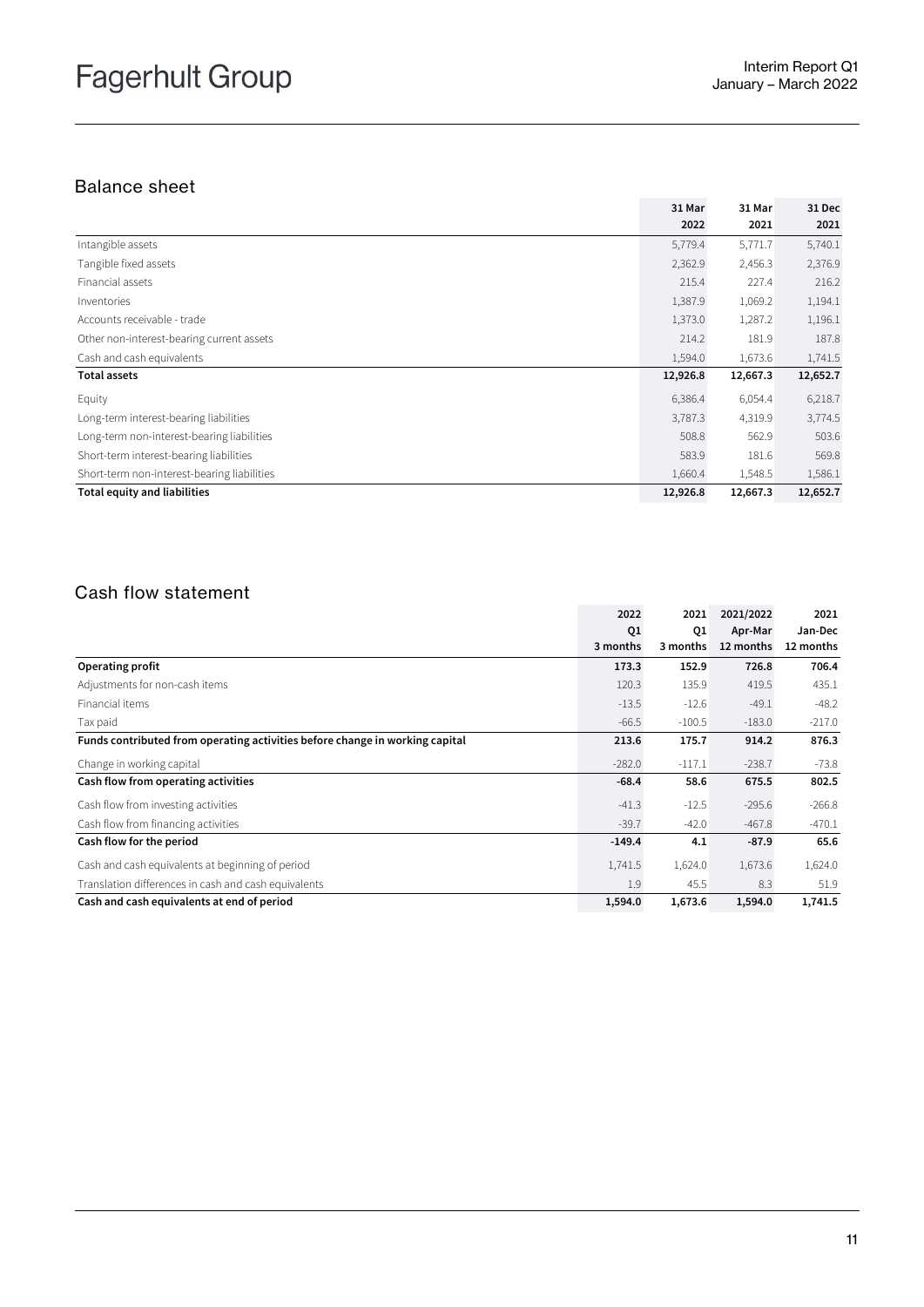### Balance sheet

|                                             | 31 Mar   | 31 Mar   | 31 Dec   |
|---------------------------------------------|----------|----------|----------|
|                                             | 2022     | 2021     | 2021     |
| Intangible assets                           | 5,779.4  | 5,771.7  | 5,740.1  |
| Tangible fixed assets                       | 2,362.9  | 2,456.3  | 2,376.9  |
| Financial assets                            | 215.4    | 227.4    | 216.2    |
| Inventories                                 | 1,387.9  | 1,069.2  | 1,194.1  |
| Accounts receivable - trade                 | 1,373.0  | 1,287.2  | 1,196.1  |
| Other non-interest-bearing current assets   | 214.2    | 181.9    | 187.8    |
| Cash and cash equivalents                   | 1,594.0  | 1,673.6  | 1,741.5  |
| <b>Total assets</b>                         | 12,926.8 | 12,667.3 | 12,652.7 |
| Equity                                      | 6,386.4  | 6,054.4  | 6,218.7  |
| Long-term interest-bearing liabilities      | 3,787.3  | 4,319.9  | 3,774.5  |
| Long-term non-interest-bearing liabilities  | 508.8    | 562.9    | 503.6    |
| Short-term interest-bearing liabilities     | 583.9    | 181.6    | 569.8    |
| Short-term non-interest-bearing liabilities | 1,660.4  | 1,548.5  | 1,586.1  |
| <b>Total equity and liabilities</b>         | 12,926.8 | 12,667.3 | 12,652.7 |

### Cash flow statement

|                                                                              | 2022     | 2021     | 2021/2022 | 2021      |
|------------------------------------------------------------------------------|----------|----------|-----------|-----------|
|                                                                              | Q1       | Q1       | Apr-Mar   | Jan-Dec   |
|                                                                              | 3 months | 3 months | 12 months | 12 months |
| Operating profit                                                             | 173.3    | 152.9    | 726.8     | 706.4     |
| Adjustments for non-cash items                                               | 120.3    | 135.9    | 419.5     | 435.1     |
| Financial items                                                              | $-13.5$  | $-12.6$  | $-49.1$   | $-48.2$   |
| Tax paid                                                                     | $-66.5$  | $-100.5$ | $-183.0$  | $-217.0$  |
| Funds contributed from operating activities before change in working capital | 213.6    | 175.7    | 914.2     | 876.3     |
| Change in working capital                                                    | $-282.0$ | $-117.1$ | $-238.7$  | $-73.8$   |
| Cash flow from operating activities                                          | $-68.4$  | 58.6     | 675.5     | 802.5     |
| Cash flow from investing activities                                          | $-41.3$  | $-12.5$  | $-295.6$  | $-266.8$  |
| Cash flow from financing activities                                          | $-39.7$  | $-42.0$  | $-467.8$  | $-470.1$  |
| Cash flow for the period                                                     | $-149.4$ | 4.1      | $-87.9$   | 65.6      |
| Cash and cash equivalents at beginning of period                             | 1,741.5  | 1,624.0  | 1,673.6   | 1,624.0   |
| Translation differences in cash and cash equivalents                         | 1.9      | 45.5     | 8.3       | 51.9      |
| Cash and cash equivalents at end of period                                   | 1,594.0  | 1,673.6  | 1,594.0   | 1,741.5   |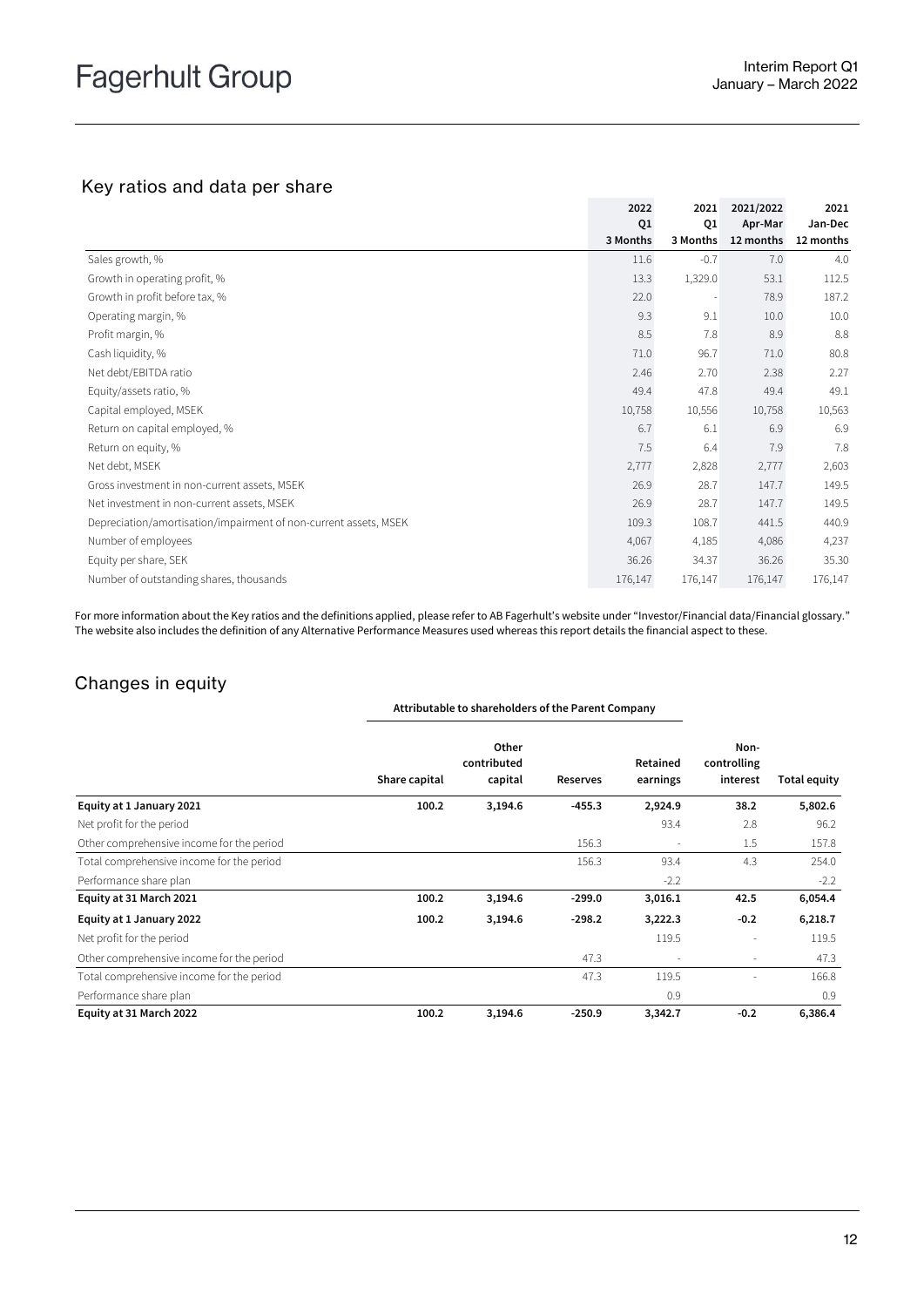### Key ratios and data per share

|                                                                  | 2022           | 2021                     | 2021/2022 | 2021      |
|------------------------------------------------------------------|----------------|--------------------------|-----------|-----------|
|                                                                  | Q <sub>1</sub> | Q1                       | Apr-Mar   | Jan-Dec   |
|                                                                  | 3 Months       | 3 Months                 | 12 months | 12 months |
| Sales growth, %                                                  | 11.6           | $-0.7$                   | 7.0       | 4.0       |
| Growth in operating profit, %                                    | 13.3           | 1,329.0                  | 53.1      | 112.5     |
| Growth in profit before tax, %                                   | 22.0           | $\overline{\phantom{a}}$ | 78.9      | 187.2     |
| Operating margin, %                                              | 9.3            | 9.1                      | 10.0      | 10.0      |
| Profit margin, %                                                 | 8.5            | 7.8                      | 8.9       | 8.8       |
| Cash liquidity, %                                                | 71.0           | 96.7                     | 71.0      | 80.8      |
| Net debt/EBITDA ratio                                            | 2.46           | 2.70                     | 2.38      | 2.27      |
| Equity/assets ratio, %                                           | 49.4           | 47.8                     | 49.4      | 49.1      |
| Capital employed, MSEK                                           | 10,758         | 10,556                   | 10,758    | 10,563    |
| Return on capital employed, %                                    | 6.7            | 6.1                      | 6.9       | 6.9       |
| Return on equity, %                                              | 7.5            | 6.4                      | 7.9       | 7.8       |
| Net debt, MSEK                                                   | 2,777          | 2,828                    | 2,777     | 2,603     |
| Gross investment in non-current assets, MSEK                     | 26.9           | 28.7                     | 147.7     | 149.5     |
| Net investment in non-current assets, MSEK                       | 26.9           | 28.7                     | 147.7     | 149.5     |
| Depreciation/amortisation/impairment of non-current assets, MSEK | 109.3          | 108.7                    | 441.5     | 440.9     |
| Number of employees                                              | 4,067          | 4,185                    | 4,086     | 4,237     |
| Equity per share, SEK                                            | 36.26          | 34.37                    | 36.26     | 35.30     |
| Number of outstanding shares, thousands                          | 176,147        | 176,147                  | 176,147   | 176,147   |

For more information about the Key ratios and the definitions applied, please refer to AB Fagerhult's website under "Investor/Financial data/Financial glossary." The website also includes the definition of any Alternative Performance Measures used whereas this report details the financial aspect to these.

### Changes in equity

|                                           |               | Attributable to shareholders of the Parent Company |          |                      |                                 | <b>Total equity</b> |
|-------------------------------------------|---------------|----------------------------------------------------|----------|----------------------|---------------------------------|---------------------|
|                                           | Share capital | Other<br>contributed<br>capital                    | Reserves | Retained<br>earnings | Non-<br>controlling<br>interest |                     |
| Equity at 1 January 2021                  | 100.2         | 3,194.6                                            | $-455.3$ | 2,924.9              | 38.2                            | 5,802.6             |
| Net profit for the period                 |               |                                                    |          | 93.4                 | 2.8                             | 96.2                |
| Other comprehensive income for the period |               |                                                    | 156.3    |                      | 1.5                             | 157.8               |
| Total comprehensive income for the period |               |                                                    | 156.3    | 93.4                 | 4.3                             | 254.0               |
| Performance share plan                    |               |                                                    |          | $-2.2$               |                                 | $-2.2$              |
| Equity at 31 March 2021                   | 100.2         | 3,194.6                                            | $-299.0$ | 3,016.1              | 42.5                            | 6,054.4             |
| Equity at 1 January 2022                  | 100.2         | 3,194.6                                            | $-298.2$ | 3,222.3              | $-0.2$                          | 6,218.7             |
| Net profit for the period                 |               |                                                    |          | 119.5                |                                 | 119.5               |
| Other comprehensive income for the period |               |                                                    | 47.3     |                      | $\overline{\phantom{a}}$        | 47.3                |
| Total comprehensive income for the period |               |                                                    | 47.3     | 119.5                |                                 | 166.8               |
| Performance share plan                    |               |                                                    |          | 0.9                  |                                 | 0.9                 |
| Equity at 31 March 2022                   | 100.2         | 3,194.6                                            | $-250.9$ | 3,342.7              | $-0.2$                          | 6,386.4             |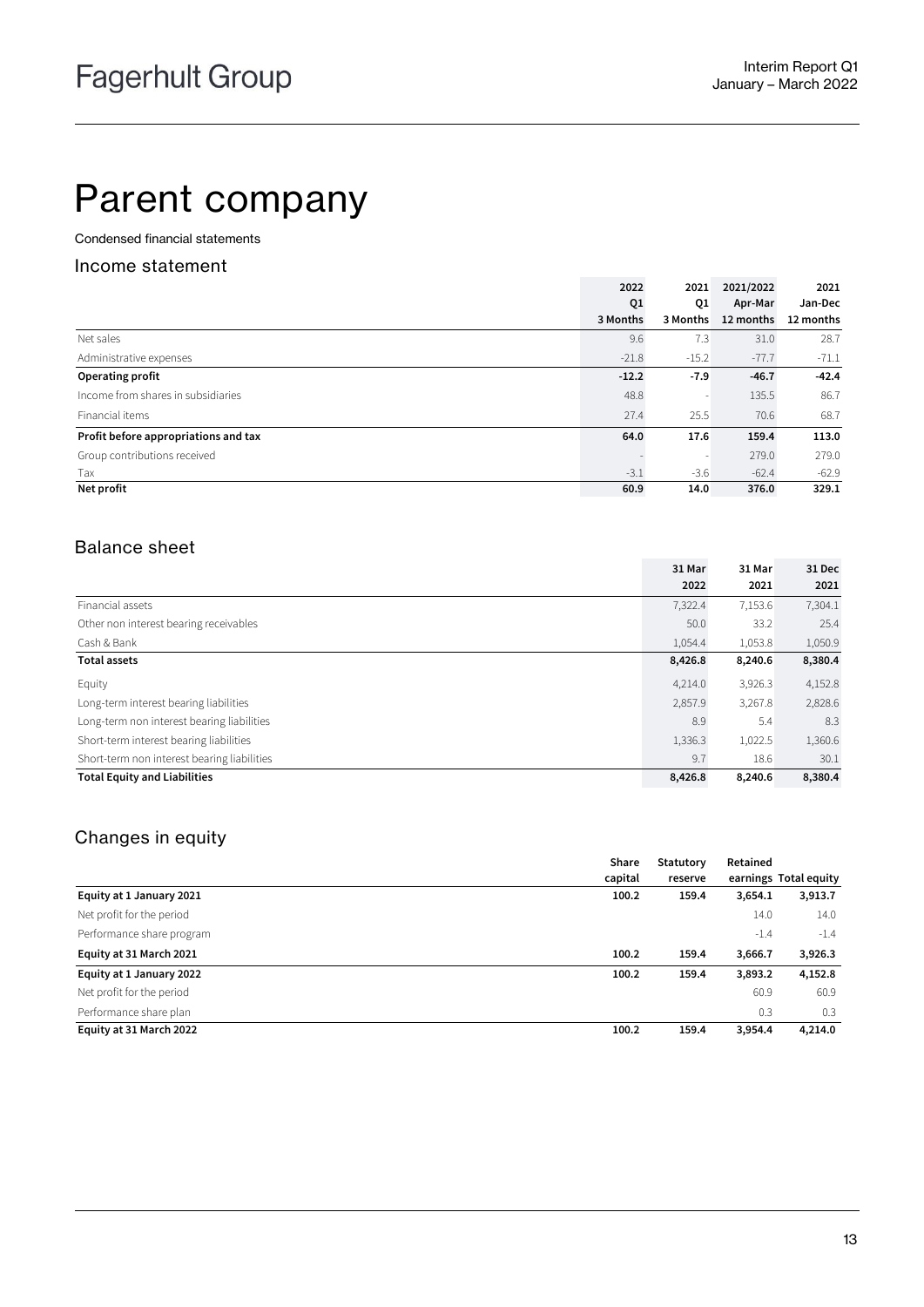## Parent company

Condensed financial statements

#### Income statement

|                                      | 2022     | 2021     | 2021/2022 | 2021      |
|--------------------------------------|----------|----------|-----------|-----------|
|                                      | Q1       | Q1       | Apr-Mar   | Jan-Dec   |
|                                      | 3 Months | 3 Months | 12 months | 12 months |
| Net sales                            | 9.6      | 7.3      | 31.0      | 28.7      |
| Administrative expenses              | $-21.8$  | $-15.2$  | $-77.7$   | $-71.1$   |
| Operating profit                     | $-12.2$  | $-7.9$   | $-46.7$   | $-42.4$   |
| Income from shares in subsidiaries   | 48.8     |          | 135.5     | 86.7      |
| Financial items                      | 27.4     | 25.5     | 70.6      | 68.7      |
| Profit before appropriations and tax | 64.0     | 17.6     | 159.4     | 113.0     |
| Group contributions received         |          |          | 279.0     | 279.0     |
| Tax                                  | $-3.1$   | $-3.6$   | $-62.4$   | $-62.9$   |
| Net profit                           | 60.9     | 14.0     | 376.0     | 329.1     |

### Balance sheet

|                                             | 31 Mar  | 31 Mar  | 31 Dec  |
|---------------------------------------------|---------|---------|---------|
|                                             | 2022    | 2021    | 2021    |
| Financial assets                            | 7,322.4 | 7,153.6 | 7,304.1 |
| Other non interest bearing receivables      | 50.0    | 33.2    | 25.4    |
| Cash & Bank                                 | 1,054.4 | 1,053.8 | 1,050.9 |
| <b>Total assets</b>                         | 8,426.8 | 8,240.6 | 8,380.4 |
| Equity                                      | 4,214.0 | 3,926.3 | 4,152.8 |
| Long-term interest bearing liabilities      | 2,857.9 | 3,267.8 | 2,828.6 |
| Long-term non interest bearing liabilities  | 8.9     | 5.4     | 8.3     |
| Short-term interest bearing liabilities     | 1,336.3 | 1,022.5 | 1,360.6 |
| Short-term non interest bearing liabilities | 9.7     | 18.6    | 30.1    |
| <b>Total Equity and Liabilities</b>         | 8,426.8 | 8,240.6 | 8,380.4 |

### Changes in equity

|                           | Share   | Statutory | Retained |                       |
|---------------------------|---------|-----------|----------|-----------------------|
|                           | capital | reserve   |          | earnings Total equity |
| Equity at 1 January 2021  | 100.2   | 159.4     | 3,654.1  | 3,913.7               |
| Net profit for the period |         |           | 14.0     | 14.0                  |
| Performance share program |         |           | $-1.4$   | $-1.4$                |
| Equity at 31 March 2021   | 100.2   | 159.4     | 3,666.7  | 3,926.3               |
| Equity at 1 January 2022  | 100.2   | 159.4     | 3,893.2  | 4,152.8               |
| Net profit for the period |         |           | 60.9     | 60.9                  |
| Performance share plan    |         |           | 0.3      | 0.3                   |
| Equity at 31 March 2022   | 100.2   | 159.4     | 3,954.4  | 4,214.0               |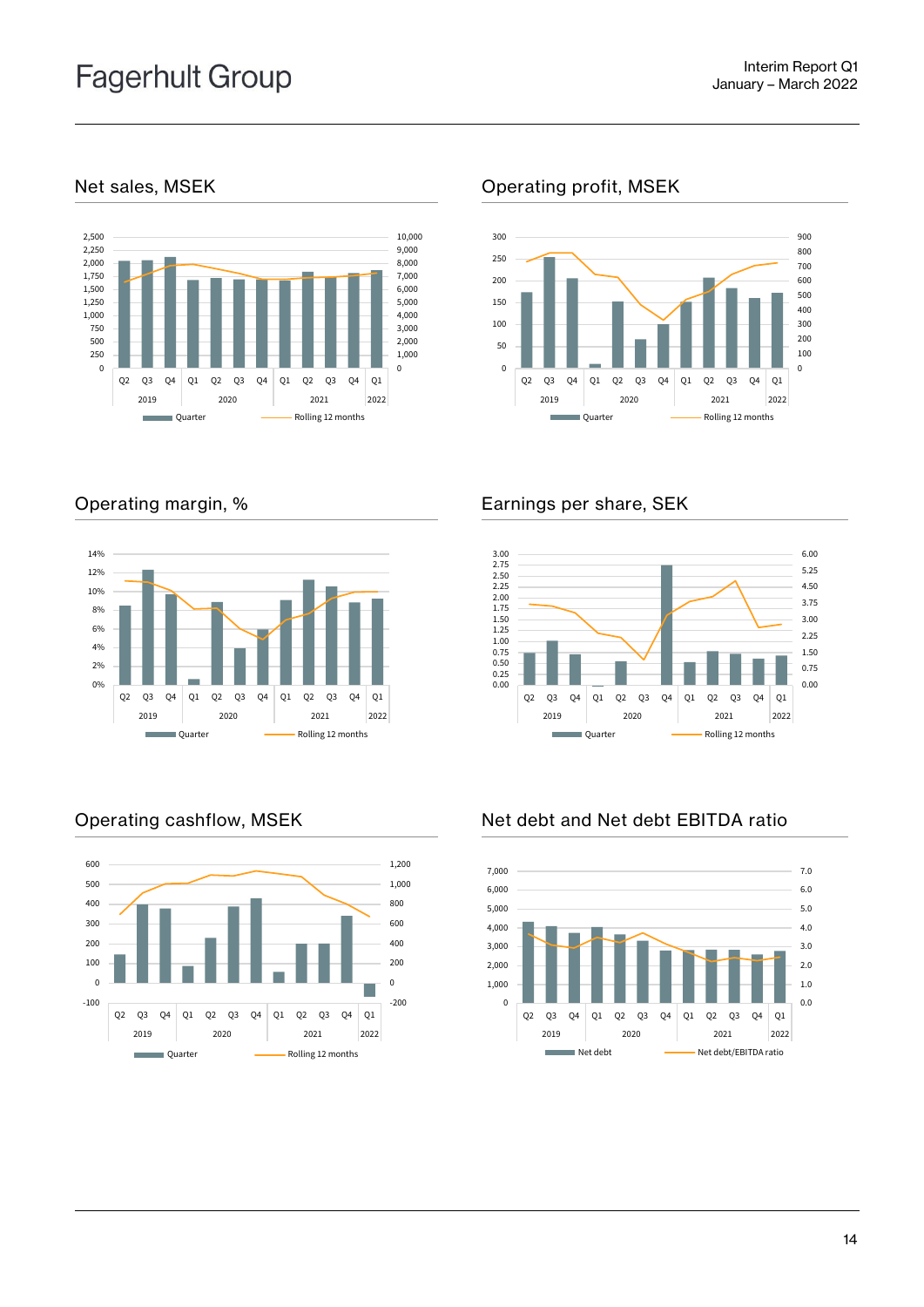

### Net sales, MSEK Operating profit, MSEK





### Operating margin, % Earnings per share, SEK



### Operating cashflow, MSEK Net debt and Net debt EBITDA ratio



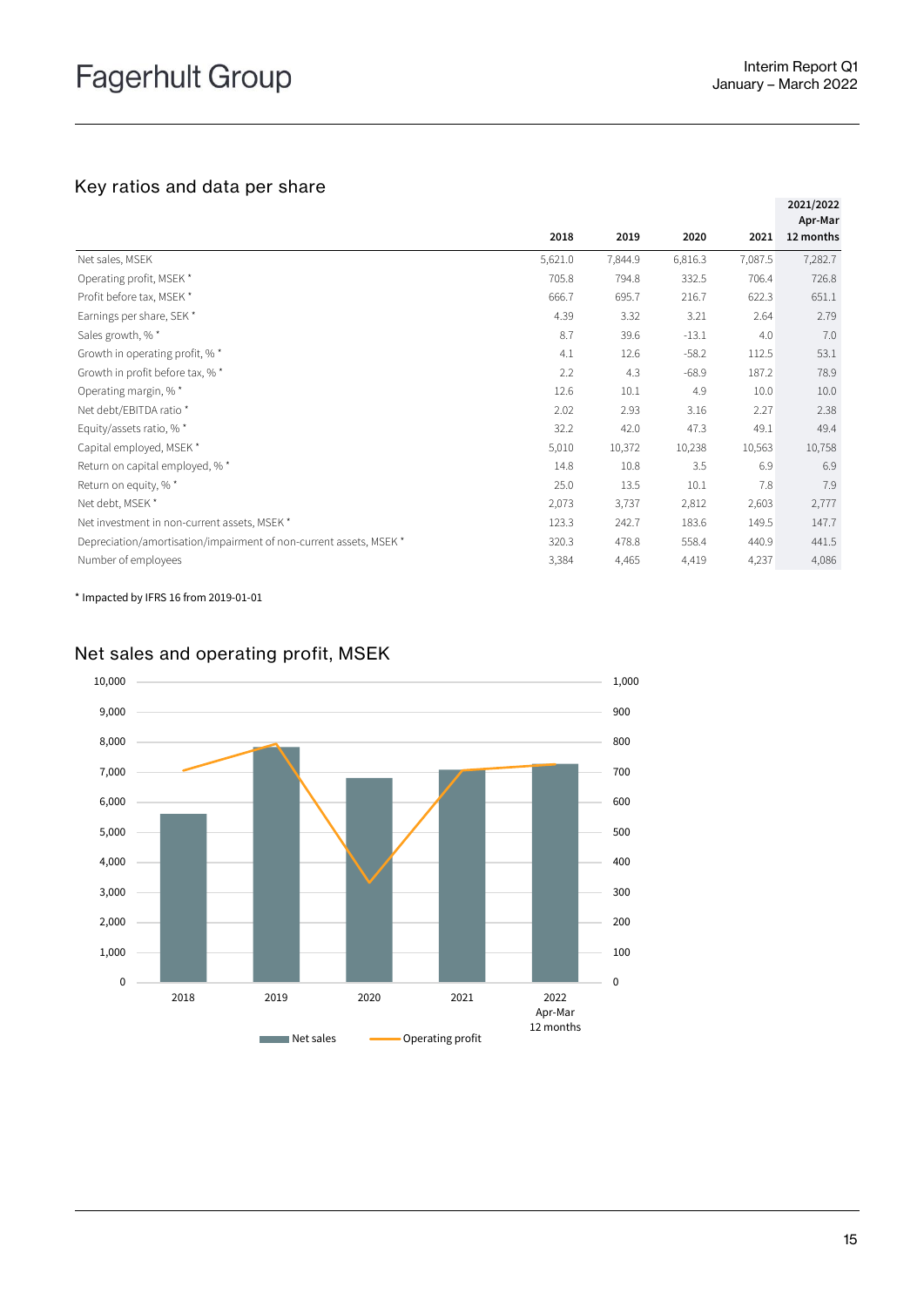### Key ratios and data per share

|                                                                    |         |         |         |         | 2021/2022            |
|--------------------------------------------------------------------|---------|---------|---------|---------|----------------------|
|                                                                    | 2018    | 2019    | 2020    | 2021    | Apr-Mar<br>12 months |
| Net sales, MSEK                                                    | 5,621.0 | 7,844.9 | 6,816.3 | 7,087.5 | 7,282.7              |
| Operating profit, MSEK *                                           | 705.8   | 794.8   | 332.5   | 706.4   | 726.8                |
| Profit before tax, MSEK *                                          | 666.7   | 695.7   | 216.7   | 622.3   | 651.1                |
| Earnings per share, SEK *                                          | 4.39    | 3.32    | 3.21    | 2.64    | 2.79                 |
| Sales growth, %*                                                   | 8.7     | 39.6    | $-13.1$ | 4.0     | 7.0                  |
| Growth in operating profit, %*                                     | 4.1     | 12.6    | $-58.2$ | 112.5   | 53.1                 |
| Growth in profit before tax, % *                                   | 2.2     | 4.3     | $-68.9$ | 187.2   | 78.9                 |
| Operating margin, %*                                               | 12.6    | 10.1    | 4.9     | 10.0    | 10.0                 |
| Net debt/EBITDA ratio *                                            | 2.02    | 2.93    | 3.16    | 2.27    | 2.38                 |
| Equity/assets ratio, %*                                            | 32.2    | 42.0    | 47.3    | 49.1    | 49.4                 |
| Capital employed, MSEK *                                           | 5,010   | 10,372  | 10,238  | 10,563  | 10,758               |
| Return on capital employed, % *                                    | 14.8    | 10.8    | 3.5     | 6.9     | 6.9                  |
| Return on equity, % *                                              | 25.0    | 13.5    | 10.1    | 7.8     | 7.9                  |
| Net debt, MSEK *                                                   | 2,073   | 3,737   | 2,812   | 2,603   | 2,777                |
| Net investment in non-current assets, MSEK *                       | 123.3   | 242.7   | 183.6   | 149.5   | 147.7                |
| Depreciation/amortisation/impairment of non-current assets, MSEK * | 320.3   | 478.8   | 558.4   | 440.9   | 441.5                |
| Number of employees                                                | 3,384   | 4,465   | 4,419   | 4,237   | 4,086                |

\* Impacted by IFRS 16 from 2019-01-01